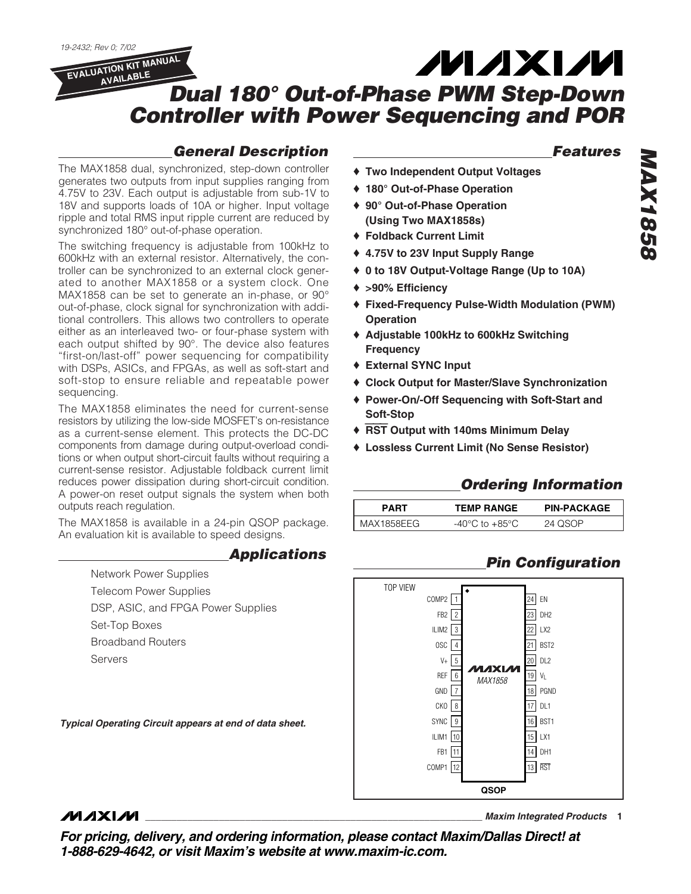*19-2432; Rev 0; 7/02*

## *Dual 180° Out-of-Phase PWM Step-Down Controller with Power Sequencing and POR* **EVALUATION KIT MANUAL AVAILABLE**

## *General Description*

The MAX1858 dual, synchronized, step-down controller generates two outputs from input supplies ranging from 4.75V to 23V. Each output is adjustable from sub-1V to 18V and supports loads of 10A or higher. Input voltage ripple and total RMS input ripple current are reduced by synchronized 180° out-of-phase operation.

The switching frequency is adjustable from 100kHz to 600kHz with an external resistor. Alternatively, the controller can be synchronized to an external clock generated to another MAX1858 or a system clock. One MAX1858 can be set to generate an in-phase, or 90° out-of-phase, clock signal for synchronization with additional controllers. This allows two controllers to operate either as an interleaved two- or four-phase system with each output shifted by 90°. The device also features "first-on/last-off" power sequencing for compatibility with DSPs, ASICs, and FPGAs, as well as soft-start and soft-stop to ensure reliable and repeatable power sequencing.

The MAX1858 eliminates the need for current-sense resistors by utilizing the low-side MOSFET's on-resistance as a current-sense element. This protects the DC-DC components from damage during output-overload conditions or when output short-circuit faults without requiring a current-sense resistor. Adjustable foldback current limit reduces power dissipation during short-circuit condition. A power-on reset output signals the system when both outputs reach regulation.

The MAX1858 is available in a 24-pin QSOP package. An evaluation kit is available to speed designs.

## *Applications*

Network Power Supplies Telecom Power Supplies DSP, ASIC, and FPGA Power Supplies Set-Top Boxes

Broadband Routers

Servers

*Typical Operating Circuit appears at end of data sheet.*

## *Features*

**MAXM** 

- ♦ **Two Independent Output Voltages**
- ♦ **180° Out-of-Phase Operation**
- ♦ **90° Out-of-Phase Operation (Using Two MAX1858s)**
- ♦ **Foldback Current Limit**
- ♦ **4.75V to 23V Input Supply Range**
- ♦ **0 to 18V Output-Voltage Range (Up to 10A)**
- ♦ **>90% Efficiency**
- ♦ **Fixed-Frequency Pulse-Width Modulation (PWM) Operation**
- ♦ **Adjustable 100kHz to 600kHz Switching Frequency**
- ♦ **External SYNC Input**
- ♦ **Clock Output for Master/Slave Synchronization**
- ♦ **Power-On/-Off Sequencing with Soft-Start and Soft-Stop**
- ♦ RST **Output with 140ms Minimum Delay**
- ♦ **Lossless Current Limit (No Sense Resistor)**

## *Ordering Information*

| PART       | TEMP RANGE     | <b>PIN-PACKAGE</b> |  |  |
|------------|----------------|--------------------|--|--|
| MAX1858EEG | -40°C to +85°C | 24 OSOP            |  |  |

## *Pin Configuration*



## **MAXIM**

**\_\_\_\_\_\_\_\_\_\_\_\_\_\_\_\_\_\_\_\_\_\_\_\_\_\_\_\_\_\_\_\_\_\_\_\_\_\_\_\_\_\_\_\_\_\_\_\_\_\_\_\_\_\_\_\_\_\_\_\_\_\_\_\_** *Maxim Integrated Products* **1**

*For pricing, delivery, and ordering information, please contact Maxim/Dallas Direct! at 1-888-629-4642, or visit Maxim's website at www.maxim-ic.com.*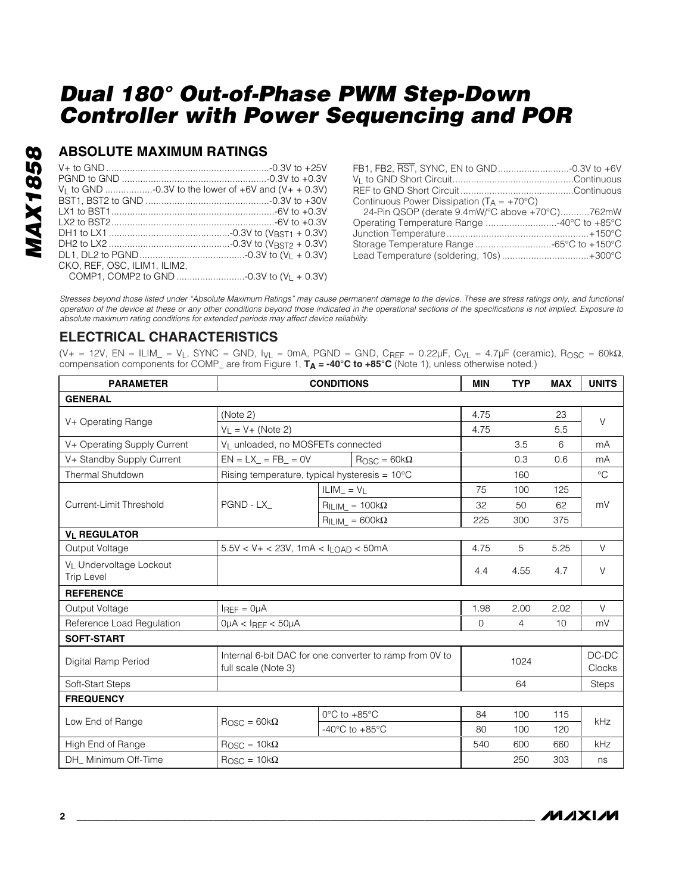## **ABSOLUTE MAXIMUM RATINGS**

|                              | V <sub>1</sub> to GND -0.3V to the lower of $+6V$ and $(V_{+} + 0.3V)$ |
|------------------------------|------------------------------------------------------------------------|
|                              |                                                                        |
|                              |                                                                        |
|                              |                                                                        |
|                              |                                                                        |
|                              |                                                                        |
|                              |                                                                        |
| CKO, REF. OSC. ILIM1. ILIM2. |                                                                        |
|                              |                                                                        |

| FB1, FB2, RST, SYNC, EN to GND-0.3V to +6V            |  |
|-------------------------------------------------------|--|
|                                                       |  |
|                                                       |  |
| Continuous Power Dissipation ( $T_A = +70^{\circ}C$ ) |  |
| 24-Pin QSOP (derate 9.4mW/°C above +70°C)762mW        |  |
| Operating Temperature Range 40°C to +85°C             |  |
|                                                       |  |
| Storage Temperature Range -65°C to +150°C             |  |
| Lead Temperature (soldering, 10s)+300°C               |  |

*Stresses beyond those listed under "Absolute Maximum Ratings" may cause permanent damage to the device. These are stress ratings only, and functional operation of the device at these or any other conditions beyond those indicated in the operational sections of the specifications is not implied. Exposure to absolute maximum rating conditions for extended periods may affect device reliability.*

## **ELECTRICAL CHARACTERISTICS**

(V+ = 12V, EN = ILIM\_ = V<sub>L</sub>, SYNC = GND, I<sub>VL</sub> = 0mA, PGND = GND, C<sub>REF</sub> = 0.22μF, C<sub>VL</sub> = 4.7μF (ceramic), R<sub>OSC</sub> = 60kΩ, compensation components for COMP\_ are from Figure 1, **TA = -40°C to +85°C** (Note 1), unless otherwise noted.)

| <b>PARAMETER</b>                             | <b>CONDITIONS</b>                                                              |                                   |                                          | <b>MIN</b> | <b>TYP</b> | <b>MAX</b> | <b>UNITS</b>    |  |
|----------------------------------------------|--------------------------------------------------------------------------------|-----------------------------------|------------------------------------------|------------|------------|------------|-----------------|--|
| <b>GENERAL</b>                               |                                                                                |                                   |                                          |            |            |            |                 |  |
|                                              | (Note 2)                                                                       |                                   |                                          | 4.75       |            | 23         | $\vee$          |  |
| V+ Operating Range                           | $V_1 = V + (Note 2)$                                                           |                                   |                                          |            |            | 5.5        |                 |  |
| V+ Operating Supply Current                  |                                                                                | VL unloaded, no MOSFETs connected |                                          |            | 3.5        | 6          | mA              |  |
| V+ Standby Supply Current                    | $EN = LX = FB = 0V$                                                            |                                   | $\text{R}$ <sub>OSC</sub> = 60k $\Omega$ |            | 0.3        | 0.6        | mA              |  |
| Thermal Shutdown                             | Rising temperature, typical hysteresis = 10°C                                  |                                   |                                          |            | 160        |            | $\circ$ C       |  |
|                                              |                                                                                | $ILIM = V_L$                      |                                          | 75         | 100        | 125        | mV              |  |
| Current-Limit Threshold                      | PGND - LX                                                                      |                                   | $R_{ILIM}$ = 100k $\Omega$               | 32         | 50         | 62         |                 |  |
|                                              |                                                                                |                                   | $R_{ILIM} = 600k\Omega$                  | 225        | 300        | 375        |                 |  |
| <b>VI REGULATOR</b>                          |                                                                                |                                   |                                          |            |            |            |                 |  |
| Output Voltage                               | $5.5V < V + < 23V$ , 1mA < $I_{LOAD} < 50mA$                                   |                                   |                                          | 4.75       | 5          | 5.25       | $\vee$          |  |
| VL Undervoltage Lockout<br><b>Trip Level</b> |                                                                                |                                   |                                          | 4.4        | 4.55       | 4.7        | $\vee$          |  |
| <b>REFERENCE</b>                             |                                                                                |                                   |                                          |            |            |            |                 |  |
| Output Voltage                               | $I_{REF} = 0 \mu A$                                                            |                                   |                                          | 1.98       | 2.00       | 2.02       | V               |  |
| Reference Load Regulation                    | $0\mu A < I_{REF} < 50\mu A$                                                   |                                   |                                          | $\Omega$   | 4          | 10         | mV              |  |
| <b>SOFT-START</b>                            |                                                                                |                                   |                                          |            |            |            |                 |  |
| Digital Ramp Period                          | Internal 6-bit DAC for one converter to ramp from 0V to<br>full scale (Note 3) |                                   |                                          |            | 1024       |            | DC-DC<br>Clocks |  |
| Soft-Start Steps                             |                                                                                |                                   |                                          |            | 64         |            | Steps           |  |
| <b>FREQUENCY</b>                             |                                                                                |                                   |                                          |            |            |            |                 |  |
| Low End of Range                             | $\text{R}$ <sub>OSC</sub> = 60k $\Omega$                                       | $0^{\circ}$ C to $+85^{\circ}$ C  |                                          | 84         | 100        | 115        | kHz             |  |
|                                              |                                                                                |                                   | -40 $^{\circ}$ C to +85 $^{\circ}$ C     | 80         | 100        | 120        |                 |  |
| High End of Range                            | $ROSC = 10k\Omega$                                                             |                                   |                                          | 540        | 600        | 660        | kHz             |  |
| DH Minimum Off-Time                          | $\text{R}$ <sub>OSC</sub> = 10k $\Omega$                                       |                                   |                                          | 250        | 303        | ns         |                 |  |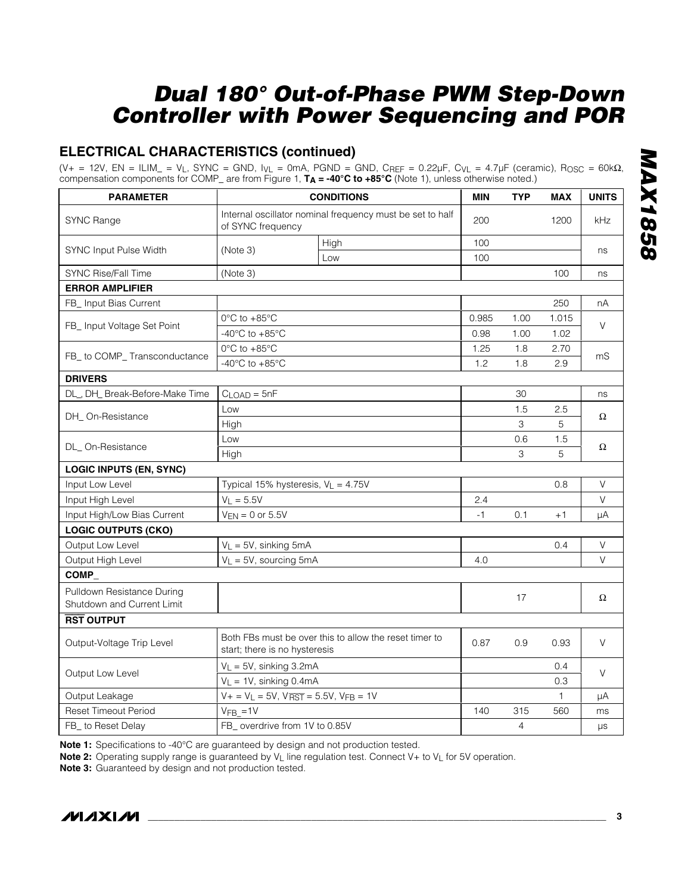## **ELECTRICAL CHARACTERISTICS (continued)**

(V+ = 12V, EN = ILIM\_ = VL, SYNC = GND, IVL = 0mA, PGND = GND, CREF = 0.22µF, CVL = 4.7µF (ceramic), ROSC = 60kΩ, compensation components for COMP\_ are from Figure 1, **TA = -40°C to +85°C** (Note 1), unless otherwise noted.)

| <b>PARAMETER</b>                                         | <b>CONDITIONS</b>                                                                       |                                       | <b>MIN</b> | <b>TYP</b> | <b>MAX</b> | <b>UNITS</b> |  |
|----------------------------------------------------------|-----------------------------------------------------------------------------------------|---------------------------------------|------------|------------|------------|--------------|--|
| SYNC Range                                               | Internal oscillator nominal frequency must be set to half<br>of SYNC frequency          |                                       | 200        |            | 1200       | <b>kHz</b>   |  |
| SYNC Input Pulse Width                                   |                                                                                         | High                                  | 100        |            |            |              |  |
|                                                          | (Note 3)                                                                                | Low                                   | 100        |            |            | ns           |  |
| SYNC Rise/Fall Time                                      | (Note 3)                                                                                |                                       |            |            | 100        | ns           |  |
| <b>ERROR AMPLIFIER</b>                                   |                                                                                         |                                       |            |            |            |              |  |
| FB_ Input Bias Current                                   |                                                                                         |                                       |            |            | 250        | nА           |  |
|                                                          | 0°C to +85°C                                                                            |                                       |            | 1.00       | 1.015      |              |  |
| FB_ Input Voltage Set Point                              | -40 $^{\circ}$ C to +85 $^{\circ}$ C                                                    |                                       |            | 1.00       | 1.02       | V            |  |
|                                                          | $0^{\circ}$ C to +85 $^{\circ}$ C                                                       |                                       |            | 1.8        | 2.70       |              |  |
| FB_ to COMP_ Transconductance                            | -40 $^{\circ}$ C to +85 $^{\circ}$ C                                                    |                                       |            | 1.8        | 2.9        | mS           |  |
| <b>DRIVERS</b>                                           |                                                                                         |                                       |            |            |            |              |  |
| DL_, DH_ Break-Before-Make Time                          | $CLOAD = 5nF$                                                                           |                                       |            | 30         |            | ns           |  |
| DH_On-Resistance                                         | Low                                                                                     |                                       |            | 1.5        | 2.5        |              |  |
|                                                          | High                                                                                    |                                       |            | 3          | 5          | Ω            |  |
| DL_On-Resistance                                         | Low                                                                                     |                                       |            | 0.6        | 1.5        | Ω            |  |
|                                                          | High                                                                                    |                                       |            | 3          | 5          |              |  |
| <b>LOGIC INPUTS (EN, SYNC)</b>                           |                                                                                         |                                       |            |            |            |              |  |
| Input Low Level                                          |                                                                                         | Typical 15% hysteresis, $V_L = 4.75V$ |            |            | 0.8        | $\vee$       |  |
| Input High Level                                         | $V_L = 5.5V$                                                                            |                                       | 2.4        |            |            | V            |  |
| Input High/Low Bias Current                              |                                                                                         | $V_{EN} = 0$ or 5.5V                  |            | 0.1        | $+1$       | μA           |  |
| <b>LOGIC OUTPUTS (CKO)</b>                               |                                                                                         |                                       |            |            |            |              |  |
| Output Low Level                                         | $V_L = 5V$ , sinking 5mA                                                                |                                       |            |            | 0.4        | $\mathsf V$  |  |
| Output High Level                                        |                                                                                         | $V_L = 5V$ , sourcing 5mA             |            |            |            | V            |  |
| COMP_                                                    |                                                                                         |                                       |            |            |            |              |  |
| Pulldown Resistance During<br>Shutdown and Current Limit |                                                                                         |                                       |            | 17         |            | Ω            |  |
| <b>RST OUTPUT</b>                                        |                                                                                         |                                       |            |            |            |              |  |
| Output-Voltage Trip Level                                | Both FBs must be over this to allow the reset timer to<br>start; there is no hysteresis |                                       | 0.87       | 0.9        | 0.93       | V            |  |
| Output Low Level                                         | $V_L = 5V$ , sinking 3.2mA                                                              |                                       |            |            | 0.4        |              |  |
|                                                          | $V_L = 1V$ , sinking 0.4mA                                                              |                                       |            |            | 0.3        | V            |  |
| Output Leakage                                           | $V + = V_L = 5V$ , $V_{\overline{RST}} = 5.5V$ , $V_{FB} = 1V$                          |                                       |            |            | 1          | μA           |  |
| <b>Reset Timeout Period</b>                              | $VFB_$ = 1V                                                                             |                                       | 140        | 315        | 560        | ms           |  |
| FB_ to Reset Delay                                       | FB_ overdrive from 1V to 0.85V                                                          |                                       |            | 4          |            | μs           |  |

**Note 1:** Specifications to -40°C are guaranteed by design and not production tested.

**Note 2:** Operating supply range is guaranteed by V<sub>L</sub> line regulation test. Connect V+ to V<sub>L</sub> for 5V operation.

**Note 3:** Guaranteed by design and not production tested.

**MAXIM** 

*MAX1858* **MAX1858**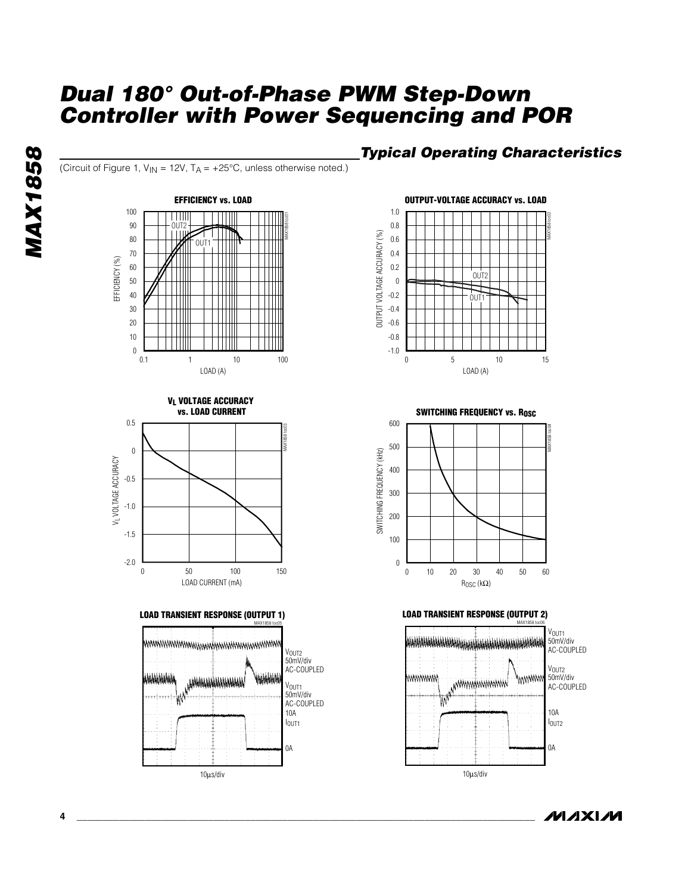(Circuit of Figure 1,  $V_{IN}$  = 12V,  $T_A$  = +25°C, unless otherwise noted.)









## *Typical Operating Characteristics*



**SWITCHING FREQUENCY vs. Rosc** 





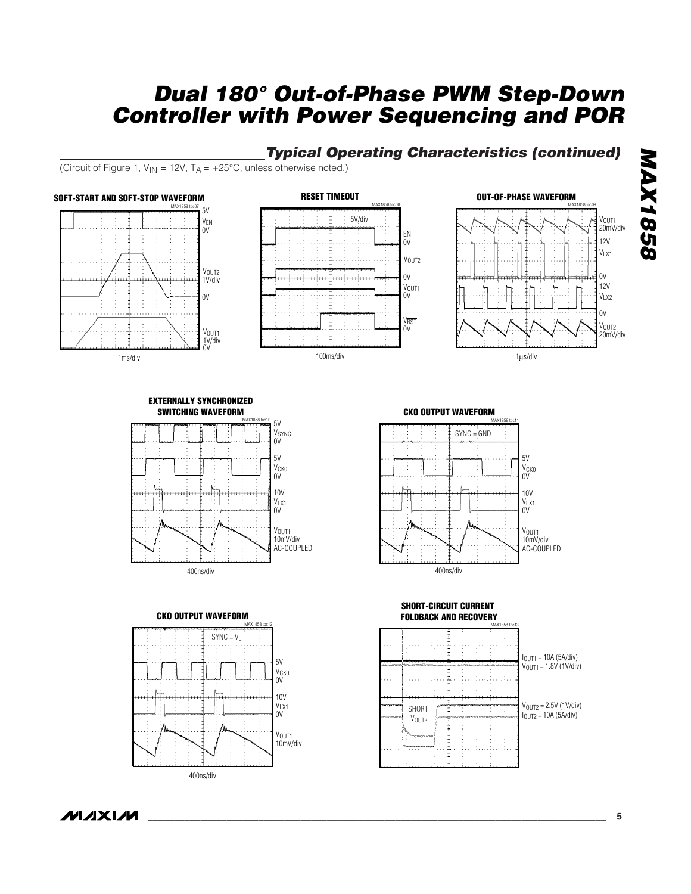## *Typical Operating Characteristics (continued)*

(Circuit of Figure 1,  $V_{IN} = 12V$ ,  $T_A = +25^{\circ}C$ , unless otherwise noted.)







#### **EXTERNALLY SYNCHRONIZED SWITCHING WAVEFORM**





**CKO OUTPUT WAVEFORM**



#### **SHORT-CIRCUIT CURRENT FOLDBACK AND RECOVERY**



**MAXIM**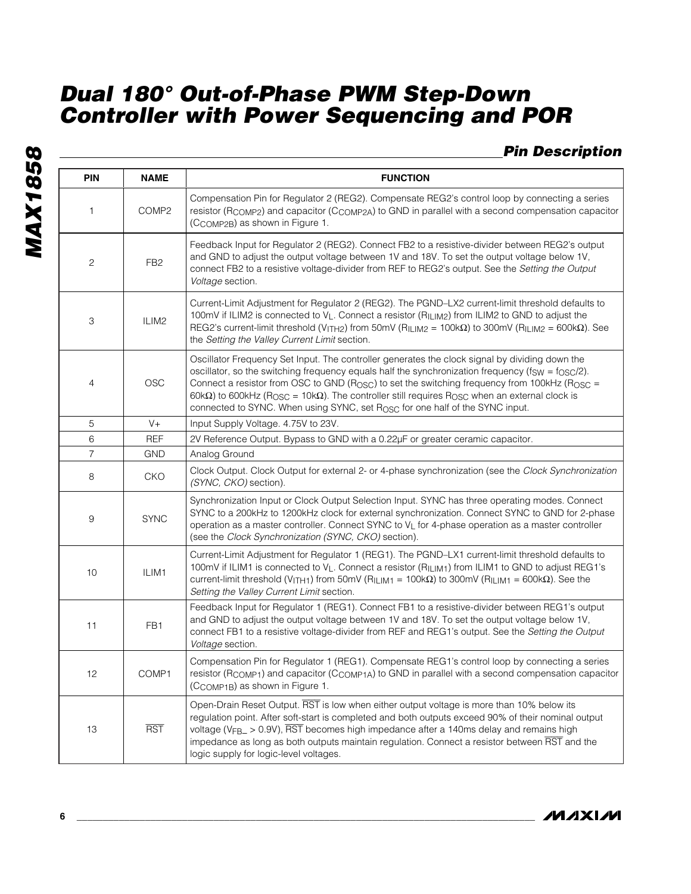*Pin Description*

| <b>PIN</b>     | <b>NAME</b>     | <b>FUNCTION</b>                                                                                                                                                                                                                                                                                                                                                                                                                                                                                                                                           |
|----------------|-----------------|-----------------------------------------------------------------------------------------------------------------------------------------------------------------------------------------------------------------------------------------------------------------------------------------------------------------------------------------------------------------------------------------------------------------------------------------------------------------------------------------------------------------------------------------------------------|
| 1              | COMP2           | Compensation Pin for Regulator 2 (REG2). Compensate REG2's control loop by connecting a series<br>resistor (RCOMP2) and capacitor (CCOMP2A) to GND in parallel with a second compensation capacitor<br>(CCOMP2B) as shown in Figure 1.                                                                                                                                                                                                                                                                                                                    |
| 2              | FB <sub>2</sub> | Feedback Input for Regulator 2 (REG2). Connect FB2 to a resistive-divider between REG2's output<br>and GND to adjust the output voltage between 1V and 18V. To set the output voltage below 1V,<br>connect FB2 to a resistive voltage-divider from REF to REG2's output. See the Setting the Output<br>Voltage section.                                                                                                                                                                                                                                   |
| 3              | ILIM2           | Current-Limit Adjustment for Regulator 2 (REG2). The PGND-LX2 current-limit threshold defaults to<br>100mV if ILIM2 is connected to V <sub>L</sub> . Connect a resistor (R <sub>ILIM2</sub> ) from ILIM2 to GND to adjust the<br>REG2's current-limit threshold (V <sub>ITH2</sub> ) from 50mV (R <sub>ILIM2</sub> = 100k $\Omega$ ) to 300mV (R <sub>ILIM2</sub> = 600k $\Omega$ ). See<br>the Setting the Valley Current Limit section.                                                                                                                 |
| 4              | OSC             | Oscillator Frequency Set Input. The controller generates the clock signal by dividing down the<br>oscillator, so the switching frequency equals half the synchronization frequency ( $f_{SW} = f_{OSC}/2$ ).<br>Connect a resistor from OSC to GND ( $R_{\rm OSC}$ ) to set the switching frequency from 100kHz ( $R_{\rm OSC}$ =<br>$60k\Omega$ ) to 600kHz (R <sub>OSC</sub> = 10k $\Omega$ ). The controller still requires R <sub>OSC</sub> when an external clock is<br>connected to SYNC. When using SYNC, set Rosc for one half of the SYNC input. |
| 5              | $V +$           | Input Supply Voltage. 4.75V to 23V.                                                                                                                                                                                                                                                                                                                                                                                                                                                                                                                       |
| 6              | <b>REF</b>      | 2V Reference Output. Bypass to GND with a 0.22µF or greater ceramic capacitor.                                                                                                                                                                                                                                                                                                                                                                                                                                                                            |
| $\overline{7}$ | <b>GND</b>      | Analog Ground                                                                                                                                                                                                                                                                                                                                                                                                                                                                                                                                             |
| 8              | <b>CKO</b>      | Clock Output. Clock Output for external 2- or 4-phase synchronization (see the Clock Synchronization<br>(SYNC, CKO) section).                                                                                                                                                                                                                                                                                                                                                                                                                             |
| 9              | <b>SYNC</b>     | Synchronization Input or Clock Output Selection Input. SYNC has three operating modes. Connect<br>SYNC to a 200kHz to 1200kHz clock for external synchronization. Connect SYNC to GND for 2-phase<br>operation as a master controller. Connect SYNC to V <sub>L</sub> for 4-phase operation as a master controller<br>(see the Clock Synchronization (SYNC, CKO) section).                                                                                                                                                                                |
| 10             | ILIM1           | Current-Limit Adjustment for Regulator 1 (REG1). The PGND-LX1 current-limit threshold defaults to<br>100mV if ILIM1 is connected to V <sub>L</sub> . Connect a resistor (R <sub>ILIM1</sub> ) from ILIM1 to GND to adjust REG1's<br>current-limit threshold (V <sub>ITH1</sub> ) from 50mV (R <sub>ILIM1</sub> = 100k $\Omega$ ) to 300mV (R <sub>ILIM1</sub> = 600k $\Omega$ ). See the<br>Setting the Valley Current Limit section.                                                                                                                     |
| 11             | FB <sub>1</sub> | Feedback Input for Regulator 1 (REG1). Connect FB1 to a resistive-divider between REG1's output<br>and GND to adjust the output voltage between 1V and 18V. To set the output voltage below 1V,<br>connect FB1 to a resistive voltage-divider from REF and REG1's output. See the Setting the Output<br>Voltage section.                                                                                                                                                                                                                                  |
| 12             | COMP1           | Compensation Pin for Regulator 1 (REG1). Compensate REG1's control loop by connecting a series<br>resistor (RCOMP1) and capacitor (CCOMP1A) to GND in parallel with a second compensation capacitor<br>(CCOMP1B) as shown in Figure 1.                                                                                                                                                                                                                                                                                                                    |
| 13             | <b>RST</b>      | Open-Drain Reset Output. RST is low when either output voltage is more than 10% below its<br>regulation point. After soft-start is completed and both outputs exceed 90% of their nominal output<br>voltage (VFB <sub>-</sub> $> 0.9$ V), RST becomes high impedance after a 140ms delay and remains high<br>impedance as long as both outputs maintain regulation. Connect a resistor between RST and the<br>logic supply for logic-level voltages.                                                                                                      |

**MAXIM**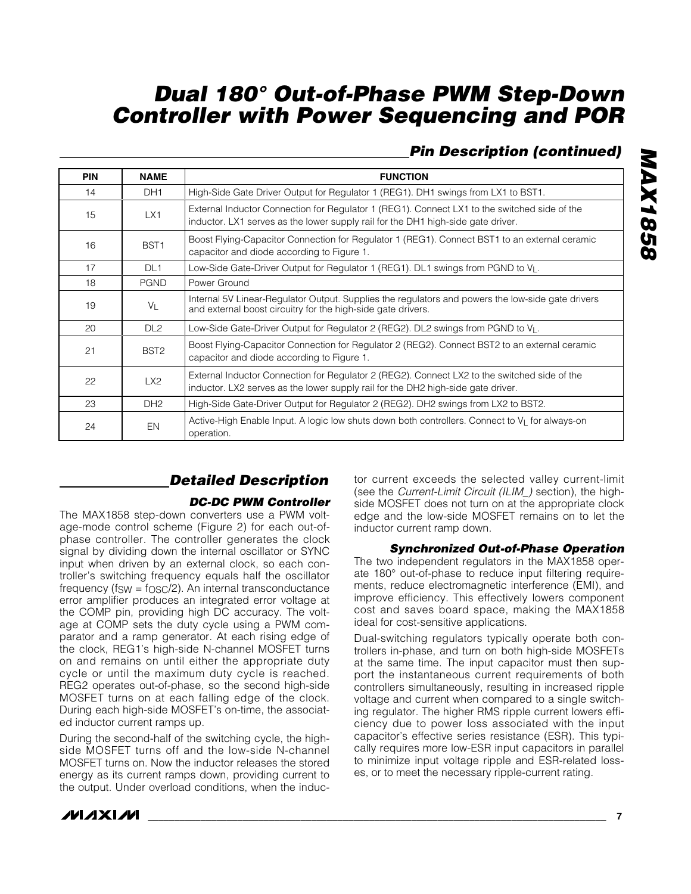## *Pin Description (continued)*

*MAX1858*

**MAX1858** 

| <b>PIN</b> | <b>NAME</b>      | <b>FUNCTION</b>                                                                                                                                                                  |
|------------|------------------|----------------------------------------------------------------------------------------------------------------------------------------------------------------------------------|
| 14         | DH <sub>1</sub>  | High-Side Gate Driver Output for Regulator 1 (REG1). DH1 swings from LX1 to BST1.                                                                                                |
| 15         | LX1              | External Inductor Connection for Regulator 1 (REG1). Connect LX1 to the switched side of the<br>inductor. LX1 serves as the lower supply rail for the DH1 high-side gate driver. |
| 16         | BST <sub>1</sub> | Boost Flying-Capacitor Connection for Regulator 1 (REG1). Connect BST1 to an external ceramic<br>capacitor and diode according to Figure 1.                                      |
| 17         | DL <sub>1</sub>  | Low-Side Gate-Driver Output for Regulator 1 (REG1). DL1 swings from PGND to $V_L$ .                                                                                              |
| 18         | <b>PGND</b>      | Power Ground                                                                                                                                                                     |
| 19         | $V_L$            | Internal 5V Linear-Regulator Output. Supplies the regulators and powers the low-side gate drivers<br>and external boost circuitry for the high-side gate drivers.                |
| 20         | DI2              | Low-Side Gate-Driver Output for Regulator 2 (REG2). DL2 swings from PGND to V <sub>L</sub> .                                                                                     |
| 21         | BST <sub>2</sub> | Boost Flying-Capacitor Connection for Regulator 2 (REG2). Connect BST2 to an external ceramic<br>capacitor and diode according to Figure 1.                                      |
| 22         | LX2              | External Inductor Connection for Regulator 2 (REG2). Connect LX2 to the switched side of the<br>inductor. LX2 serves as the lower supply rail for the DH2 high-side gate driver. |
| 23         | DH <sub>2</sub>  | High-Side Gate-Driver Output for Regulator 2 (REG2). DH2 swings from LX2 to BST2.                                                                                                |
| 24         | EN               | Active-High Enable Input. A logic low shuts down both controllers. Connect to VL for always-on<br>operation.                                                                     |

## *Detailed Description*

## *DC-DC PWM Controller*

The MAX1858 step-down converters use a PWM voltage-mode control scheme (Figure 2) for each out-ofphase controller. The controller generates the clock signal by dividing down the internal oscillator or SYNC input when driven by an external clock, so each controller's switching frequency equals half the oscillator frequency ( $f_{SW} = f_{OSC}/2$ ). An internal transconductance error amplifier produces an integrated error voltage at the COMP pin, providing high DC accuracy. The voltage at COMP sets the duty cycle using a PWM comparator and a ramp generator. At each rising edge of the clock, REG1's high-side N-channel MOSFET turns on and remains on until either the appropriate duty cycle or until the maximum duty cycle is reached. REG2 operates out-of-phase, so the second high-side MOSFET turns on at each falling edge of the clock. During each high-side MOSFET's on-time, the associated inductor current ramps up.

During the second-half of the switching cycle, the highside MOSFET turns off and the low-side N-channel MOSFET turns on. Now the inductor releases the stored energy as its current ramps down, providing current to the output. Under overload conditions, when the inductor current exceeds the selected valley current-limit (see the *Current-Limit Circuit (ILIM\_)* section), the highside MOSFET does not turn on at the appropriate clock edge and the low-side MOSFET remains on to let the inductor current ramp down.

## *Synchronized Out-of-Phase Operation*

The two independent regulators in the MAX1858 operate 180° out-of-phase to reduce input filtering requirements, reduce electromagnetic interference (EMI), and improve efficiency. This effectively lowers component cost and saves board space, making the MAX1858 ideal for cost-sensitive applications.

Dual-switching regulators typically operate both controllers in-phase, and turn on both high-side MOSFETs at the same time. The input capacitor must then support the instantaneous current requirements of both controllers simultaneously, resulting in increased ripple voltage and current when compared to a single switching regulator. The higher RMS ripple current lowers efficiency due to power loss associated with the input capacitor's effective series resistance (ESR). This typically requires more low-ESR input capacitors in parallel to minimize input voltage ripple and ESR-related losses, or to meet the necessary ripple-current rating.





**\_\_\_\_\_\_\_\_\_\_\_\_\_\_\_\_\_\_\_\_\_\_\_\_\_\_\_\_\_\_\_\_\_\_\_\_\_\_\_\_\_\_\_\_\_\_\_\_\_\_\_\_\_\_\_\_\_\_\_\_\_\_\_\_\_\_\_\_\_\_\_\_\_\_\_\_\_\_\_\_\_\_\_\_\_\_\_ 7**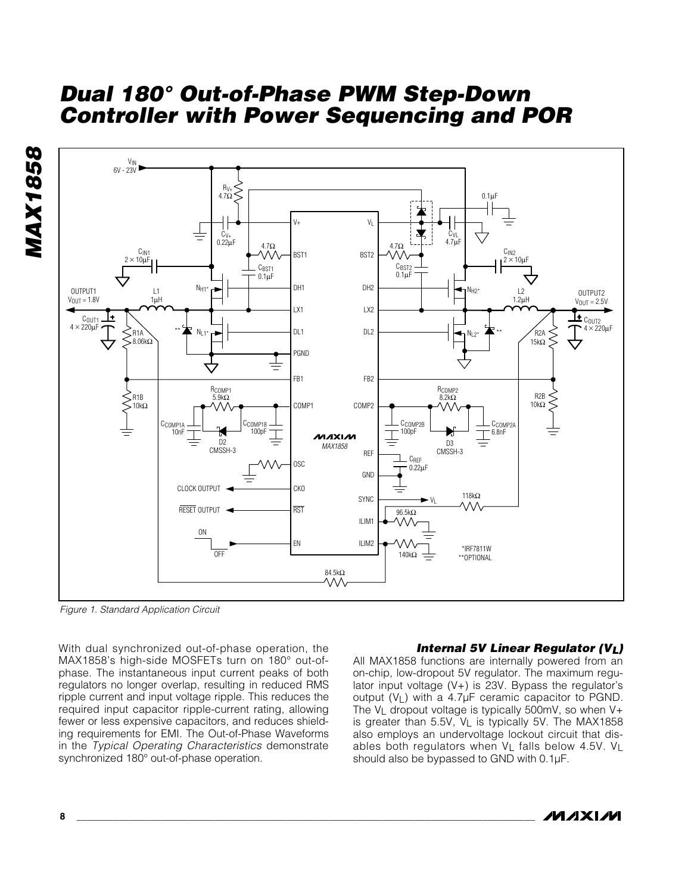

*Figure 1. Standard Application Circuit*

With dual synchronized out-of-phase operation, the MAX1858's high-side MOSFETs turn on 180° out-ofphase. The instantaneous input current peaks of both regulators no longer overlap, resulting in reduced RMS ripple current and input voltage ripple. This reduces the required input capacitor ripple-current rating, allowing fewer or less expensive capacitors, and reduces shielding requirements for EMI. The Out-of-Phase Waveforms in the *Typical Operating Characteristics* demonstrate synchronized 180° out-of-phase operation.

#### *Internal 5V Linear Regulator (VL)*

All MAX1858 functions are internally powered from an on-chip, low-dropout 5V regulator. The maximum regulator input voltage  $(V+)$  is 23V. Bypass the regulator's output  $(V_1)$  with a 4.7 $\mu$ F ceramic capacitor to PGND. The  $V_L$  dropout voltage is typically 500mV, so when V+ is greater than 5.5V, VL is typically 5V. The MAX1858 also employs an undervoltage lockout circuit that disables both regulators when  $V_L$  falls below 4.5V.  $V_L$ should also be bypassed to GND with 0.1µF.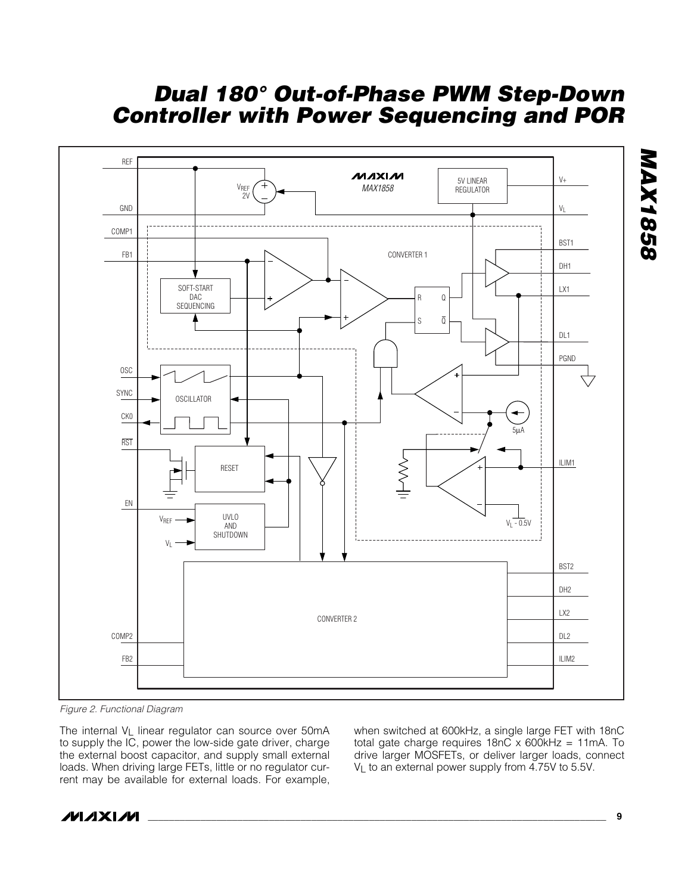

*Figure 2. Functional Diagram*

The internal VL linear regulator can source over 50mA to supply the IC, power the low-side gate driver, charge the external boost capacitor, and supply small external loads. When driving large FETs, little or no regulator current may be available for external loads. For example,

when switched at 600kHz, a single large FET with 18nC total gate charge requires  $18nC \times 600kHz = 11mA$ . To drive larger MOSFETs, or deliver larger loads, connect V<sub>L</sub> to an external power supply from 4.75V to 5.5V.



**\_\_\_\_\_\_\_\_\_\_\_\_\_\_\_\_\_\_\_\_\_\_\_\_\_\_\_\_\_\_\_\_\_\_\_\_\_\_\_\_\_\_\_\_\_\_\_\_\_\_\_\_\_\_\_\_\_\_\_\_\_\_\_\_\_\_\_\_\_\_\_\_\_\_\_\_\_\_\_\_\_\_\_\_\_\_\_ 9**

*MAX1858*

**MAX1858**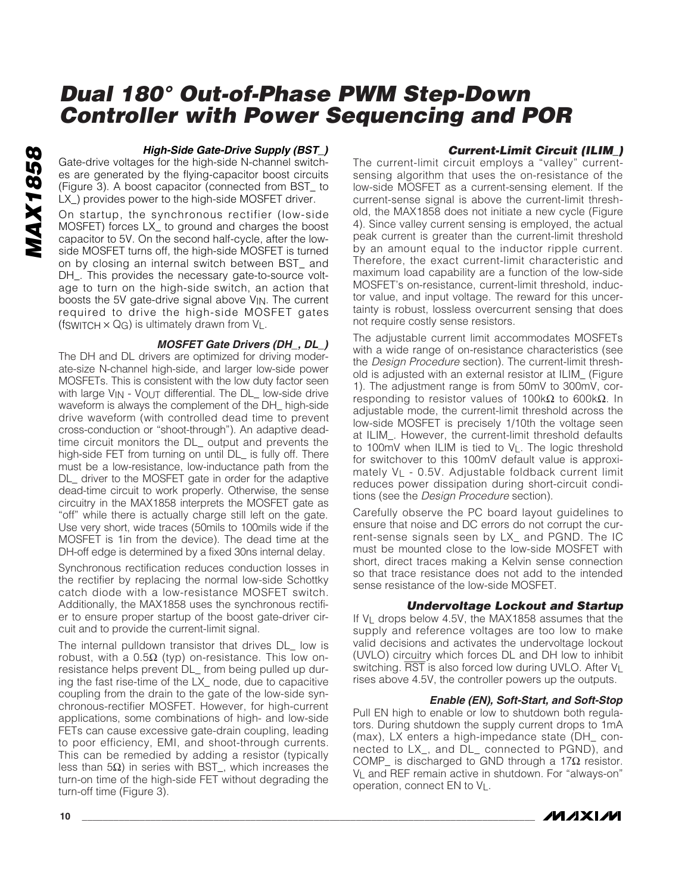# **MAX1858** *MAX1858*

#### *High-Side Gate-Drive Supply (BST\_)*

Gate-drive voltages for the high-side N-channel switches are generated by the flying-capacitor boost circuits (Figure 3). A boost capacitor (connected from BST\_ to LX\_) provides power to the high-side MOSFET driver.

On startup, the synchronous rectifier (low-side MOSFET) forces LX\_ to ground and charges the boost capacitor to 5V. On the second half-cycle, after the lowside MOSFET turns off, the high-side MOSFET is turned on by closing an internal switch between BST\_ and DH\_. This provides the necessary gate-to-source voltage to turn on the high-side switch, an action that boosts the 5V gate-drive signal above VIN. The current required to drive the high-side MOSFET gates (fswitch  $\times$  Q<sub>G</sub>) is ultimately drawn from V<sub>L</sub>.

#### *MOSFET Gate Drivers (DH\_, DL\_)*

The DH and DL drivers are optimized for driving moderate-size N-channel high-side, and larger low-side power MOSFETs. This is consistent with the low duty factor seen with large V<sub>IN</sub> - V<sub>OUT</sub> differential. The DL\_ low-side drive waveform is always the complement of the DH\_ high-side drive waveform (with controlled dead time to prevent cross-conduction or "shoot-through"). An adaptive deadtime circuit monitors the DL\_ output and prevents the high-side FET from turning on until DL\_ is fully off. There must be a low-resistance, low-inductance path from the DL\_ driver to the MOSFET gate in order for the adaptive dead-time circuit to work properly. Otherwise, the sense circuitry in the MAX1858 interprets the MOSFET gate as "off" while there is actually charge still left on the gate. Use very short, wide traces (50mils to 100mils wide if the MOSFET is 1in from the device). The dead time at the DH-off edge is determined by a fixed 30ns internal delay.

Synchronous rectification reduces conduction losses in the rectifier by replacing the normal low-side Schottky catch diode with a low-resistance MOSFET switch. Additionally, the MAX1858 uses the synchronous rectifier to ensure proper startup of the boost gate-driver circuit and to provide the current-limit signal.

The internal pulldown transistor that drives DL\_ low is robust, with a  $0.5\Omega$  (typ) on-resistance. This low onresistance helps prevent DL\_ from being pulled up during the fast rise-time of the LX\_ node, due to capacitive coupling from the drain to the gate of the low-side synchronous-rectifier MOSFET. However, for high-current applications, some combinations of high- and low-side FETs can cause excessive gate-drain coupling, leading to poor efficiency, EMI, and shoot-through currents. This can be remedied by adding a resistor (typically less than 5Ω) in series with BST\_, which increases the turn-on time of the high-side FET without degrading the turn-off time (Figure 3).

## *Current-Limit Circuit (ILIM\_)*

The current-limit circuit employs a "valley" currentsensing algorithm that uses the on-resistance of the low-side MOSFET as a current-sensing element. If the current-sense signal is above the current-limit threshold, the MAX1858 does not initiate a new cycle (Figure 4). Since valley current sensing is employed, the actual peak current is greater than the current-limit threshold by an amount equal to the inductor ripple current. Therefore, the exact current-limit characteristic and maximum load capability are a function of the low-side MOSFET's on-resistance, current-limit threshold, inductor value, and input voltage. The reward for this uncertainty is robust, lossless overcurrent sensing that does not require costly sense resistors.

The adjustable current limit accommodates MOSFETs with a wide range of on-resistance characteristics (see the *Design Procedure* section). The current-limit threshold is adjusted with an external resistor at ILIM\_ (Figure 1). The adjustment range is from 50mV to 300mV, corresponding to resistor values of 100kΩ to 600kΩ. In adjustable mode, the current-limit threshold across the low-side MOSFET is precisely 1/10th the voltage seen at ILIM\_. However, the current-limit threshold defaults to 100mV when ILIM is tied to VL. The logic threshold for switchover to this 100mV default value is approximately VL - 0.5V. Adjustable foldback current limit reduces power dissipation during short-circuit conditions (see the *Design Procedure* section).

Carefully observe the PC board layout guidelines to ensure that noise and DC errors do not corrupt the current-sense signals seen by LX\_ and PGND. The IC must be mounted close to the low-side MOSFET with short, direct traces making a Kelvin sense connection so that trace resistance does not add to the intended sense resistance of the low-side MOSFET.

## *Undervoltage Lockout and Startup*

If  $V_L$  drops below 4.5V, the MAX1858 assumes that the supply and reference voltages are too low to make valid decisions and activates the undervoltage lockout (UVLO) circuitry which forces DL and DH low to inhibit switching. RST is also forced low during UVLO. After VL rises above 4.5V, the controller powers up the outputs.

#### *Enable (EN), Soft-Start, and Soft-Stop*

Pull EN high to enable or low to shutdown both regulators. During shutdown the supply current drops to 1mA (max), LX enters a high-impedance state (DH\_ connected to LX\_, and DL\_ connected to PGND), and COMP\_ is discharged to GND through a 17Ω resistor. VL and REF remain active in shutdown. For "always-on" operation, connect EN to VL.

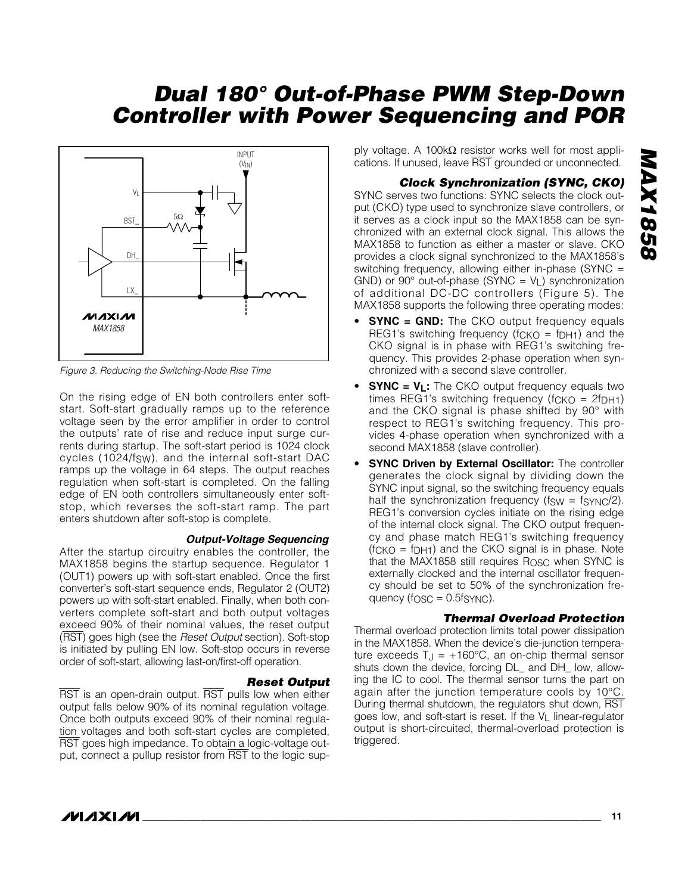

*Figure 3. Reducing the Switching-Node Rise Time*

On the rising edge of EN both controllers enter softstart. Soft-start gradually ramps up to the reference voltage seen by the error amplifier in order to control the outputs' rate of rise and reduce input surge currents during startup. The soft-start period is 1024 clock cycles (1024/f<sub>SW</sub>), and the internal soft-start DAC ramps up the voltage in 64 steps. The output reaches regulation when soft-start is completed. On the falling edge of EN both controllers simultaneously enter softstop, which reverses the soft-start ramp. The part enters shutdown after soft-stop is complete.

#### *Output-Voltage Sequencing*

After the startup circuitry enables the controller, the MAX1858 begins the startup sequence. Regulator 1 (OUT1) powers up with soft-start enabled. Once the first converter's soft-start sequence ends, Regulator 2 (OUT2) powers up with soft-start enabled. Finally, when both converters complete soft-start and both output voltages exceed 90% of their nominal values, the reset output (RST) goes high (see the *Reset Output* section). Soft-stop is initiated by pulling EN low. Soft-stop occurs in reverse order of soft-start, allowing last-on/first-off operation.

*Reset Output* RST is an open-drain output. RST pulls low when either output falls below 90% of its nominal regulation voltage. Once both outputs exceed 90% of their nominal regulation voltages and both soft-start cycles are completed, RST goes high impedance. To obtain a logic-voltage output, connect a pullup resistor from RST to the logic sup-

ply voltage. A 100k $\Omega$  resistor works well for most applications. If unused, leave RST grounded or unconnected.

## *Clock Synchronization (SYNC, CKO)*

SYNC serves two functions: SYNC selects the clock output (CKO) type used to synchronize slave controllers, or it serves as a clock input so the MAX1858 can be synchronized with an external clock signal. This allows the MAX1858 to function as either a master or slave. CKO provides a clock signal synchronized to the MAX1858's switching frequency, allowing either in-phase (SYNC = GND) or 90 $^{\circ}$  out-of-phase (SYNC =  $V_L$ ) synchronization of additional DC-DC controllers (Figure 5). The MAX1858 supports the following three operating modes:

- **SYNC = GND:** The CKO output frequency equals REG1's switching frequency ( $fCKO = fDH1$ ) and the CKO signal is in phase with REG1's switching frequency. This provides 2-phase operation when synchronized with a second slave controller.
- **SYNC = VL:** The CKO output frequency equals two times REG1's switching frequency ( $fCKO = 2fDH1$ ) and the CKO signal is phase shifted by 90° with respect to REG1's switching frequency. This provides 4-phase operation when synchronized with a second MAX1858 (slave controller).
- **SYNC Driven by External Oscillator:** The controller generates the clock signal by dividing down the SYNC input signal, so the switching frequency equals half the synchronization frequency ( $f_{SW} = f_{SYNC}/2$ ). REG1's conversion cycles initiate on the rising edge of the internal clock signal. The CKO output frequency and phase match REG1's switching frequency  $(fCKO = fDH1)$  and the CKO signal is in phase. Note that the MAX1858 still requires ROSC when SYNC is externally clocked and the internal oscillator frequency should be set to 50% of the synchronization frequency (fosc  $= 0.5$ fs $\gamma$ NC).

#### *Thermal Overload Protection*

Thermal overload protection limits total power dissipation in the MAX1858. When the device's die-junction temperature exceeds  $T_J = +160^{\circ}C$ , an on-chip thermal sensor shuts down the device, forcing DL\_ and DH\_ low, allowing the IC to cool. The thermal sensor turns the part on again after the junction temperature cools by 10°C. During thermal shutdown, the regulators shut down, RST goes low, and soft-start is reset. If the V<sub>L</sub> linear-regulator output is short-circuited, thermal-overload protection is triggered.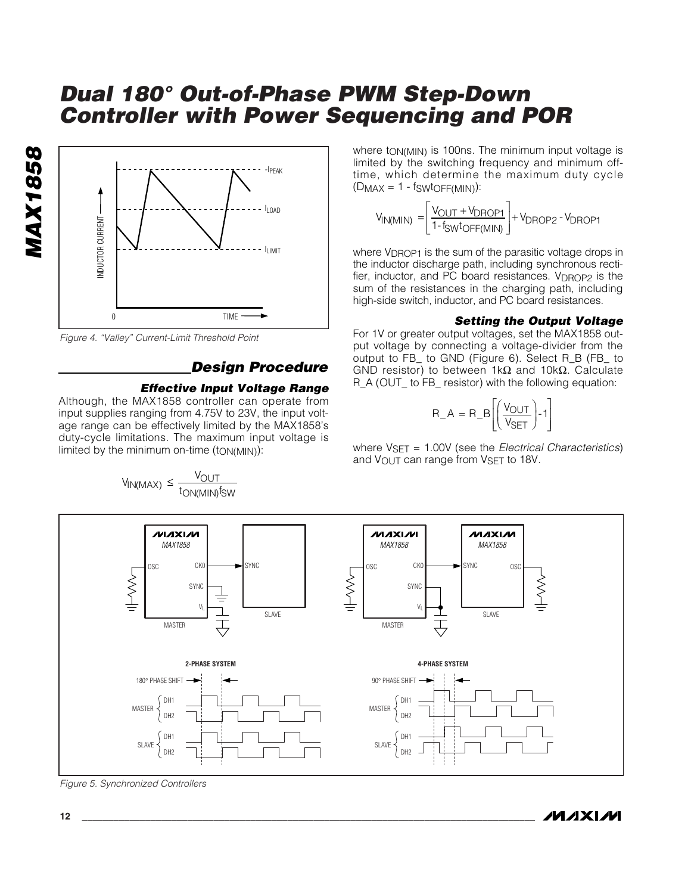

*Figure 4. "Valley" Current-Limit Threshold Point*

*MAX1858*

**MAX1858** 

## *Design Procedure*

#### *Effective Input Voltage Range*

Although, the MAX1858 controller can operate from input supplies ranging from 4.75V to 23V, the input voltage range can be effectively limited by the MAX1858's duty-cycle limitations. The maximum input voltage is limited by the minimum on-time  $(t_{ON(MIN)})$ :

 $V_{\mathsf{IN}(\mathsf{MAX})} \leq \frac{V_{\mathsf{OUT}}}{t_{\mathsf{ON}(\mathsf{MIN})}f_{\mathsf{SW}}}$ 

where t<sub>ON(MIN)</sub> is 100ns. The minimum input voltage is limited by the switching frequency and minimum offtime, which determine the maximum duty cycle  $(D_{MAX} = 1 - f_{SWUOFF(MIN)})$ :

$$
V_{IN(MIN)} = \left[ \frac{V_{OUT} + V_{DROP1}}{1 - f_{SW}t_{OFF(MIN)}} \right] + V_{DROP2} - V_{DROP1}
$$

where V<sub>DROP1</sub> is the sum of the parasitic voltage drops in the inductor discharge path, including synchronous rectifier, inductor, and PC board resistances. V<sub>DROP2</sub> is the sum of the resistances in the charging path, including high-side switch, inductor, and PC board resistances.

#### *Setting the Output Voltage*

For 1V or greater output voltages, set the MAX1858 output voltage by connecting a voltage-divider from the output to FB\_ to GND (Figure 6). Select R\_B (FB\_ to GND resistor) to between 1kΩ and 10kΩ. Calculate R\_A (OUT\_ to FB\_ resistor) with the following equation:

$$
R_A = R_B \left[ \left( \frac{V_{OUT}}{V_{SET}} \right) - 1 \right]
$$

where VSET = 1.00V (see the *Electrical Characteristics*) and VOUT can range from VSET to 18V.



*Figure 5. Synchronized Controllers*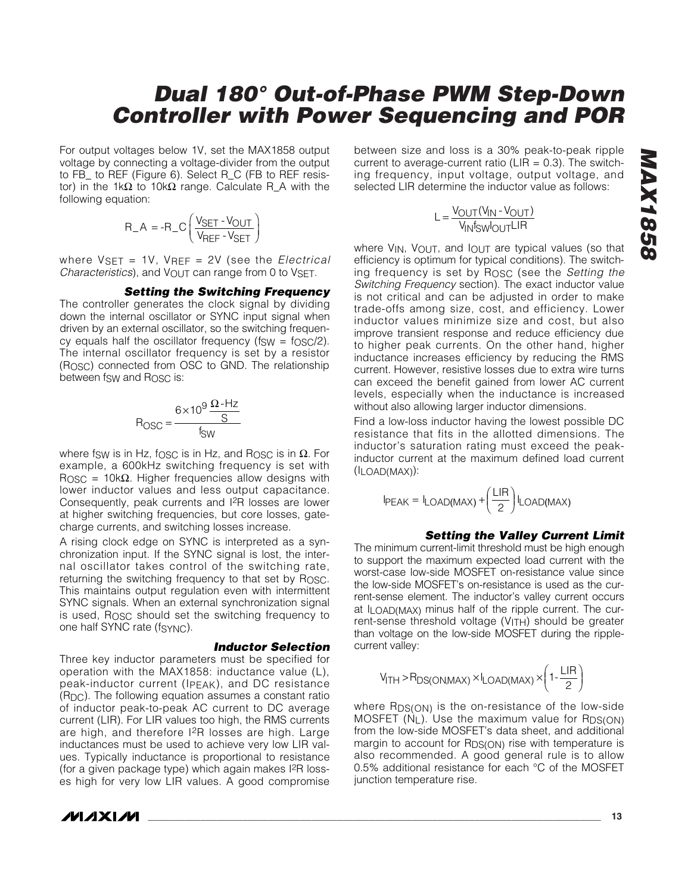For output voltages below 1V, set the MAX1858 output voltage by connecting a voltage-divider from the output to FB\_ to REF (Figure 6). Select R\_C (FB to REF resistor) in the 1kΩ to 10kΩ range. Calculate R\_A with the following equation:

$$
R_A = -R_C \left( \frac{V_{SET} - V_{OUT}}{V_{REF} - V_{SET}} \right)
$$

where VSET = 1V, VREF = 2V (see the *Electrical Characteristics*), and V<sub>OUT</sub> can range from 0 to VSET.

#### *Setting the Switching Frequency*

The controller generates the clock signal by dividing down the internal oscillator or SYNC input signal when driven by an external oscillator, so the switching frequency equals half the oscillator frequency ( $f_{SW} = f_{OSC}/2$ ). The internal oscillator frequency is set by a resistor (ROSC) connected from OSC to GND. The relationship between fsw and R<sub>OSC</sub> is:

$$
R_{\text{OSC}} = \frac{6 \times 10^9 \frac{\Omega - Hz}{S}}{f_{\text{SW}}}
$$

where fsw is in Hz, fosc is in Hz, and Rosc is in  $Ω$ . For example, a 600kHz switching frequency is set with R<sub>OSC</sub> = 10kΩ. Higher frequencies allow designs with lower inductor values and less output capacitance. Consequently, peak currents and I2R losses are lower at higher switching frequencies, but core losses, gatecharge currents, and switching losses increase.

A rising clock edge on SYNC is interpreted as a synchronization input. If the SYNC signal is lost, the internal oscillator takes control of the switching rate, returning the switching frequency to that set by ROSC. This maintains output regulation even with intermittent SYNC signals. When an external synchronization signal is used, ROSC should set the switching frequency to one half SYNC rate (fSYNC).

#### *Inductor Selection*

Three key inductor parameters must be specified for operation with the MAX1858: inductance value (L), peak-inductor current (IPEAK), and DC resistance (RDC). The following equation assumes a constant ratio of inductor peak-to-peak AC current to DC average current (LIR). For LIR values too high, the RMS currents are high, and therefore I2R losses are high. Large inductances must be used to achieve very low LIR values. Typically inductance is proportional to resistance (for a given package type) which again makes I2R losses high for very low LIR values. A good compromise

**MAXIM** 

between size and loss is a 30% peak-to-peak ripple current to average-current ratio ( $LIR = 0.3$ ). The switching frequency, input voltage, output voltage, and selected LIR determine the inductor value as follows:

$$
L = \frac{V_{OUT}(V_{IN} - V_{OUT})}{V_{IN}f_{SW}I_{OUT}LIR}
$$

where  $V_{IN}$ ,  $V_{OUT}$ , and  $I_{OUT}$  are typical values (so that efficiency is optimum for typical conditions). The switching frequency is set by ROSC (see the *Setting the Switching Frequency* section). The exact inductor value is not critical and can be adjusted in order to make trade-offs among size, cost, and efficiency. Lower inductor values minimize size and cost, but also improve transient response and reduce efficiency due to higher peak currents. On the other hand, higher inductance increases efficiency by reducing the RMS current. However, resistive losses due to extra wire turns can exceed the benefit gained from lower AC current levels, especially when the inductance is increased without also allowing larger inductor dimensions.

Find a low-loss inductor having the lowest possible DC resistance that fits in the allotted dimensions. The inductor's saturation rating must exceed the peakinductor current at the maximum defined load current (ILOAD(MAX)):

$$
I_{PEAK} = I_{LOAD(MAX)} + \left(\frac{LIR}{2}\right) I_{LOAD(MAX)}
$$

#### *Setting the Valley Current Limit*

The minimum current-limit threshold must be high enough to support the maximum expected load current with the worst-case low-side MOSFET on-resistance value since the low-side MOSFET's on-resistance is used as the current-sense element. The inductor's valley current occurs at ILOAD(MAX) minus half of the ripple current. The current-sense threshold voltage  $(V_{\text{ITH}})$  should be greater than voltage on the low-side MOSFET during the ripplecurrent valley:

$$
V_{\text{ITH}} > R_{DS(ON,MAX)} \times I_{LOAD(MAX)} \times \left(1 - \frac{\text{LIR}}{2}\right)
$$

where R<sub>DS(ON)</sub> is the on-resistance of the low-side MOSFET  $(N_L)$ . Use the maximum value for R<sub>DS(ON)</sub> from the low-side MOSFET's data sheet, and additional margin to account for  $R_{DS(ON)}$  rise with temperature is also recommended. A good general rule is to allow 0.5% additional resistance for each °C of the MOSFET junction temperature rise.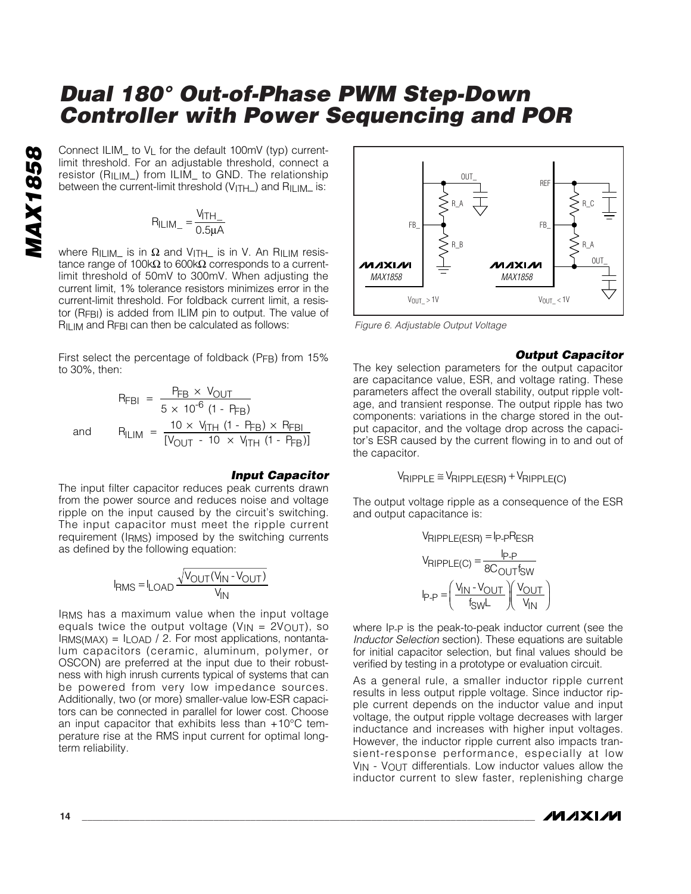**M**<br> **M**<br> **M**<br> **Connect ILIM\_ to VL for the default 100mV (typ) current-<br>
<b>M**<br> **Connect a**<br>
resistor (R<sub>ILIM</sub>\_) from ILIM\_ to GND. The relationship<br>
between the current-limit threshold (V<sub>ITH</sub>\_) and R<sub>ILIM\_</sub> is:<br>  $R_{\text{ILIM$ limit threshold. For an adjustable threshold, connect a resistor (RILIM\_) from ILIM\_ to GND. The relationship between the current-limit threshold  $(V_{\text{ITH}})$  and  $R_{\text{ILIM}}$  is:

$$
R_{ILIM} = \frac{V_{ITH}}{0.5\mu A}
$$

where RILIM\_ is in  $\Omega$  and VITH\_ is in V. An RILIM resistance range of 100kΩ to 600kΩ corresponds to a currentlimit threshold of 50mV to 300mV. When adjusting the current limit, 1% tolerance resistors minimizes error in the current-limit threshold. For foldback current limit, a resistor (RFBI) is added from ILIM pin to output. The value of R<sub>ILIM</sub> and R<sub>FBI</sub> can then be calculated as follows:

First select the percentage of foldback (PFB) from 15% to 30%, then:

$$
R_{\text{FBI}} = \frac{P_{\text{FB}} \times V_{\text{OUT}}}{5 \times 10^{-6} (1 - P_{\text{FB}})}
$$
  
and  

$$
R_{\text{ILIM}} = \frac{10 \times V_{\text{ITH}} (1 - P_{\text{FB}}) \times R_{\text{FBI}}}{[V_{\text{OUT}} - 10 \times V_{\text{ITH}} (1 - P_{\text{FB}})]}
$$

#### *Input Capacitor*

The input filter capacitor reduces peak currents drawn from the power source and reduces noise and voltage ripple on the input caused by the circuit's switching. The input capacitor must meet the ripple current requirement (IRMS) imposed by the switching currents as defined by the following equation:

$$
I_{RMS} = I_{LOAD} \frac{\sqrt{V_{OUT}(V_{IN} - V_{OUT})}}{V_{IN}}
$$

IRMS has a maximum value when the input voltage equals twice the output voltage ( $V_{IN} = 2V_{OUT}$ ), so  $I_{RMS(MAX)} = I_{LOAD} / 2$ . For most applications, nontantalum capacitors (ceramic, aluminum, polymer, or OSCON) are preferred at the input due to their robustness with high inrush currents typical of systems that can be powered from very low impedance sources. Additionally, two (or more) smaller-value low-ESR capacitors can be connected in parallel for lower cost. Choose an input capacitor that exhibits less than +10°C temperature rise at the RMS input current for optimal longterm reliability.



*Figure 6. Adjustable Output Voltage*

#### *Output Capacitor*

The key selection parameters for the output capacitor are capacitance value, ESR, and voltage rating. These parameters affect the overall stability, output ripple voltage, and transient response. The output ripple has two components: variations in the charge stored in the output capacitor, and the voltage drop across the capacitor's ESR caused by the current flowing in to and out of the capacitor.

$$
V_{RIPPLE} \cong V_{RIPPLE(ESR)} + V_{RIPPLE(C)}
$$

The output voltage ripple as a consequence of the ESR and output capacitance is:

$$
V_{RIPPLE(ESR)} = I_{P-P}R_{ESR}
$$

$$
V_{RIPPLE(C)} = \frac{I_{P-P}}{8C_{OUT}f_{SW}}
$$

$$
I_{P-P} = \left(\frac{V_{IN} - V_{OUT}}{f_{SW}L}\right)\left(\frac{V_{OUT}}{V_{IN}}\right)
$$

where IP-P is the peak-to-peak inductor current (see the *Inductor Selection* section). These equations are suitable for initial capacitor selection, but final values should be verified by testing in a prototype or evaluation circuit.

As a general rule, a smaller inductor ripple current results in less output ripple voltage. Since inductor ripple current depends on the inductor value and input voltage, the output ripple voltage decreases with larger inductance and increases with higher input voltages. However, the inductor ripple current also impacts transient-response performance, especially at low  $V_{\text{IN}}$  -  $V_{\text{OUT}}$  differentials. Low inductor values allow the inductor current to slew faster, replenishing charge

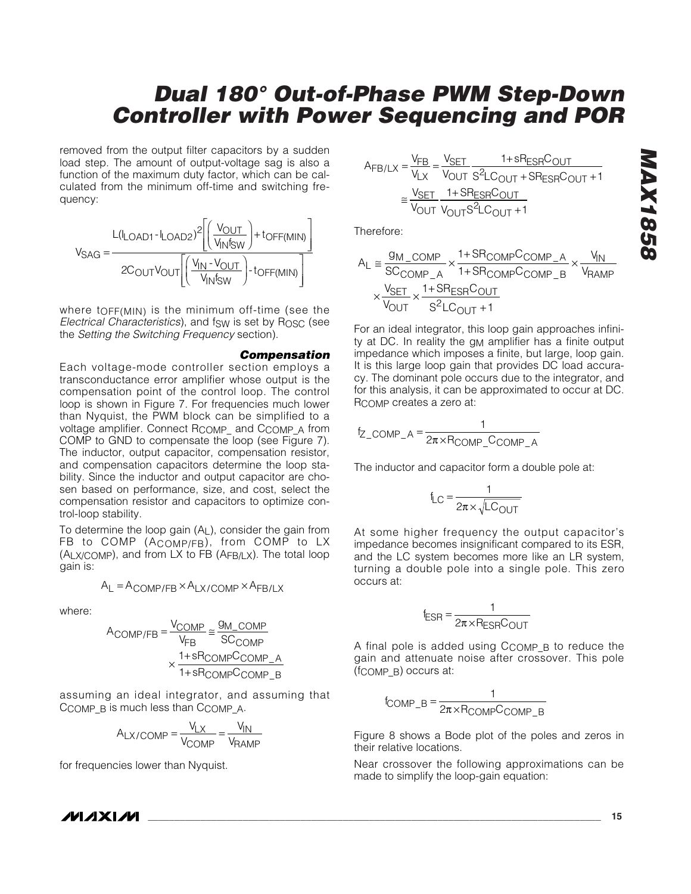removed from the output filter capacitors by a sudden load step. The amount of output-voltage sag is also a function of the maximum duty factor, which can be calculated from the minimum off-time and switching frequency:



where tOFF(MIN) is the minimum off-time (see the *Electrical Characteristics*), and fSW is set by ROSC (see the *Setting the Switching Frequency* section).

#### *Compensation*

Each voltage-mode controller section employs a transconductance error amplifier whose output is the compensation point of the control loop. The control loop is shown in Figure 7. For frequencies much lower than Nyquist, the PWM block can be simplified to a voltage amplifier. Connect RCOMP\_ and CCOMP\_A from COMP to GND to compensate the loop (see Figure 7). The inductor, output capacitor, compensation resistor, and compensation capacitors determine the loop stability. Since the inductor and output capacitor are chosen based on performance, size, and cost, select the compensation resistor and capacitors to optimize control-loop stability.

To determine the loop gain (AL), consider the gain from FB to COMP (ACOMP/FB), from COMP to LX  $(A_L \times C_M)$ , and from LX to FB  $(A_F)_{L}$ ). The total loop gain is:

$$
A_L = A_{COMP/FB} \times A_{LX/COMP} \times A_{FB/LX}
$$

where:

$$
A_{COMP/FB} = \frac{V_{COMP}}{V_{FB}} \approx \frac{9 M_{\odot COMP}}{SC_{COMP}}
$$

$$
\times \frac{1 + sR_{COMP}C_{COMP}}{1 + sR_{COMP}C_{COMP_B}}
$$

assuming an ideal integrator, and assuming that CCOMP\_B is much less than CCOMP\_A.

$$
A_{LX/COMP} = \frac{V_{LX}}{V_{COMP}} = \frac{V_{IN}}{V_{RAMP}}
$$

for frequencies lower than Nyquist.

$$
A_{FB/LX} = \frac{V_{FB}}{V_{LX}} = \frac{V_{SET}}{V_{OUT}} = \frac{1 + sR_{ESR}C_{OUT}}{V_{OUT}} = \frac{V_{SET}}{V_{OUT}} = \frac{1 + sR_{ESR}C_{OUT}}{V_{OUT}} = \frac{V_{SET}}{V_{OUT}} = \frac{1 + sR_{ESR}C_{OUT}}{V_{OUT}} = 1
$$

Therefore:

$$
A_{L} \cong \frac{g_{M\_COMP}}{SC_{COMP\_A}} \times \frac{1+SR_{COMP}C_{COMP\_A}}{1+SR_{COMP}C_{COMP\_B}} \times \frac{V_{IN}}{V_{RAMP}}
$$

$$
\times \frac{V_{SET}}{V_{OUT}} \times \frac{1+SR_{ESR}C_{OUT}}{S^{2}LC_{OUT}+1}
$$

For an ideal integrator, this loop gain approaches infinity at DC. In reality the g<sub>M</sub> amplifier has a finite output impedance which imposes a finite, but large, loop gain. It is this large loop gain that provides DC load accuracy. The dominant pole occurs due to the integrator, and for this analysis, it can be approximated to occur at DC. RCOMP creates a zero at:

$$
f_{Z\_COMP\_A} = \frac{1}{2\pi \times R_{COMP\_CCOMP\_A}}
$$

The inductor and capacitor form a double pole at:

$$
f_{LC} = \frac{1}{2\pi \times \sqrt{LC_{OUT}}}
$$

At some higher frequency the output capacitor's impedance becomes insignificant compared to its ESR, and the LC system becomes more like an LR system, turning a double pole into a single pole. This zero occurs at:

$$
f_{ESR} = \frac{1}{2\pi \times R_{ESR}C_{OUT}}
$$

A final pole is added using CCOMP\_B to reduce the gain and attenuate noise after crossover. This pole (fCOMP\_B) occurs at:

$$
f_{COMP\_B} = \frac{1}{2\pi \times R_{COMP}C_{COMP\_B}}
$$

Figure 8 shows a Bode plot of the poles and zeros in their relative locations.

Near crossover the following approximations can be made to simplify the loop-gain equation:

#### **MAXIM**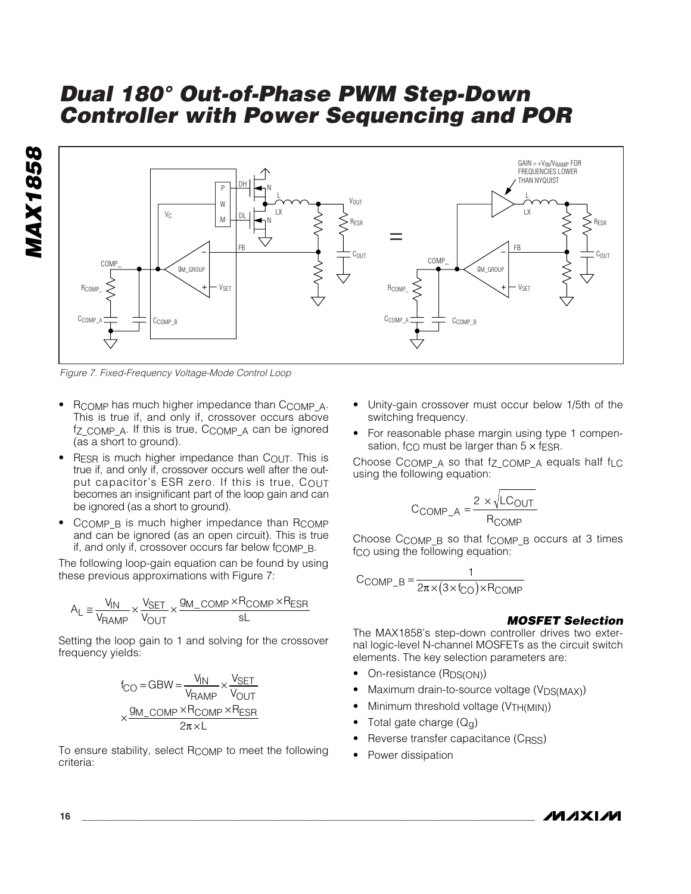

*Figure 7. Fixed-Frequency Voltage-Mode Control Loop*

- RCOMP has much higher impedance than CCOMP A. This is true if, and only if, crossover occurs above fz\_COMP\_A. If this is true, CCOMP\_A can be ignored (as a short to ground).
- RESR is much higher impedance than  $C_{\text{OUT}}$ . This is true if, and only if, crossover occurs well after the output capacitor's ESR zero. If this is true, COUT becomes an insignificant part of the loop gain and can be ignored (as a short to ground).
- CCOMP B is much higher impedance than RCOMP and can be ignored (as an open circuit). This is true if, and only if, crossover occurs far below  $f_{\rm COMP}$  B.

The following loop-gain equation can be found by using these previous approximations with Figure 7:

$$
A_L \cong \frac{V_{IN}}{V_{RAMP}} \times \frac{V_{SET}}{V_{OUT}} \times \frac{g_{M\_COMP} \times R_{COMP} \times R_{ESR}}{sL}
$$

Setting the loop gain to 1 and solving for the crossover frequency yields:

$$
f_{\text{CO}} = \text{GBW} = \frac{V_{\text{IN}}}{V_{\text{RAMP}}} \times \frac{V_{\text{SET}}}{V_{\text{OUT}}}
$$

$$
\times \frac{g_{\text{M\_COMP}} \times R_{\text{COMP}} \times R_{\text{ESR}}}{2\pi \times L}
$$

To ensure stability, select RCOMP to meet the following criteria:

- Unity-gain crossover must occur below 1/5th of the switching frequency.
- For reasonable phase margin using type 1 compensation, f<sub>CO</sub> must be larger than  $5 \times$  f<sub>ESR</sub>.

Choose CCOMP A so that fz COMP A equals half fLC using the following equation:

$$
C_{COMP\_A} = \frac{2 \times \sqrt{LC_{OUT}}}{R_{COMP}}
$$

Choose  $C_{COMP}$   $B$  so that  $f_{COMP}$   $B$  occurs at 3 times fco using the following equation:

$$
C_{COMP\_B} = \frac{1}{2\pi \times (3 \times f_{CO}) \times R_{COMP}}
$$

#### *MOSFET Selection*

The MAX1858's step-down controller drives two external logic-level N-channel MOSFETs as the circuit switch elements. The key selection parameters are:

- On-resistance (R<sub>DS(ON)</sub>)
- Maximum drain-to-source voltage (V<sub>DS(MAX)</sub>)
- Minimum threshold voltage (VTH(MIN))
- Total gate charge  $(Q_{q})$
- Reverse transfer capacitance (CRSS)
- Power dissipation

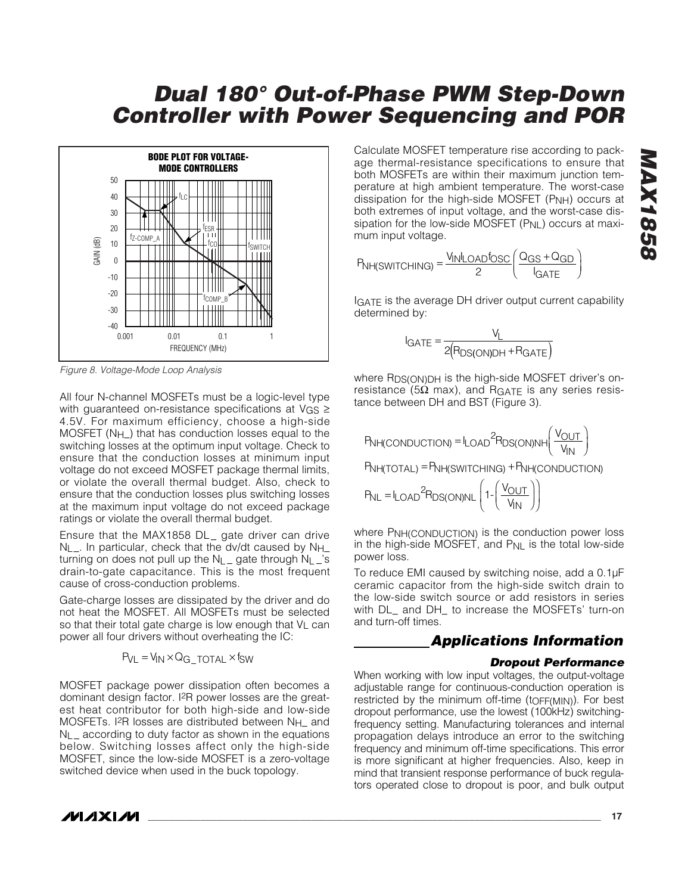

*Figure 8. Voltage-Mode Loop Analysis*

All four N-channel MOSFETs must be a logic-level type with guaranteed on-resistance specifications at VGS ≥ 4.5V. For maximum efficiency, choose a high-side MOSFET (N<sub>H</sub>) that has conduction losses equal to the switching losses at the optimum input voltage. Check to ensure that the conduction losses at minimum input voltage do not exceed MOSFET package thermal limits, or violate the overall thermal budget. Also, check to ensure that the conduction losses plus switching losses at the maximum input voltage do not exceed package ratings or violate the overall thermal budget.

Ensure that the MAX1858 DL\_ gate driver can drive  $N_{L}$ . In particular, check that the dv/dt caused by  $N_{H}$ turning on does not pull up the  $N_L$  gate through  $N_L$  's drain-to-gate capacitance. This is the most frequent cause of cross-conduction problems.

Gate-charge losses are dissipated by the driver and do not heat the MOSFET. All MOSFETs must be selected so that their total gate charge is low enough that  $V<sub>L</sub>$  can power all four drivers without overheating the IC:

$$
P_{VL} = V_{IN} \times Q_{G\_TOTAL} \times f_{SW}
$$

MOSFET package power dissipation often becomes a dominant design factor. I2R power losses are the greatest heat contributor for both high-side and low-side MOSFETs. I<sup>2</sup>R losses are distributed between N<sub>H\_</sub> and NL\_ according to duty factor as shown in the equations below. Switching losses affect only the high-side MOSFET, since the low-side MOSFET is a zero-voltage switched device when used in the buck topology.

Calculate MOSFET temperature rise according to package thermal-resistance specifications to ensure that both MOSFETs are within their maximum junction temperature at high ambient temperature. The worst-case dissipation for the high-side MOSFET  $(PNH)$  occurs at both extremes of input voltage, and the worst-case dissipation for the low-side MOSFET (PNL) occurs at maximum input voltage.

$$
P_{NH(SWITCHING)} = \frac{V_{IN}I_{OAD}f_{OSC}}{2} \left(\frac{Q_{GS} + Q_{GD}}{I_{GATE}}\right)
$$

IGATE is the average DH driver output current capability determined by:

$$
I_{GATE} = \frac{V_L}{2(R_{DS(ON)DH} + R_{GATE})}
$$

where R<sub>DS(ON)DH</sub> is the high-side MOSFET driver's onresistance (5Ω max), and R<sub>GATE</sub> is any series resistance between DH and BST (Figure 3).

$$
P_{NH(CONDUCTION)} = I_{LOAD}^2 P_{DS(ON)NH} \left( \frac{V_{OUT}}{V_{IN}} \right)
$$

PNH(TOTAL) = PNH(SWITCHING) + PNH(CONDUCTION)

$$
P_{NL} = I_{LOAD}^2 R_{DS(ON)NL} \left( 1 - \left( \frac{V_{OUT}}{V_{IN}} \right) \right)
$$

where PNH(CONDUCTION) is the conduction power loss in the high-side MOSFET, and  $P_{NL}$  is the total low-side power loss.

To reduce EMI caused by switching noise, add a 0.1µF ceramic capacitor from the high-side switch drain to the low-side switch source or add resistors in series with DL\_ and DH\_ to increase the MOSFETs' turn-on and turn-off times.

## *Applications Information*

#### *Dropout Performance*

When working with low input voltages, the output-voltage adjustable range for continuous-conduction operation is restricted by the minimum off-time (toFF(MIN)). For best dropout performance, use the lowest (100kHz) switchingfrequency setting. Manufacturing tolerances and internal propagation delays introduce an error to the switching frequency and minimum off-time specifications. This error is more significant at higher frequencies. Also, keep in mind that transient response performance of buck regulators operated close to dropout is poor, and bulk output

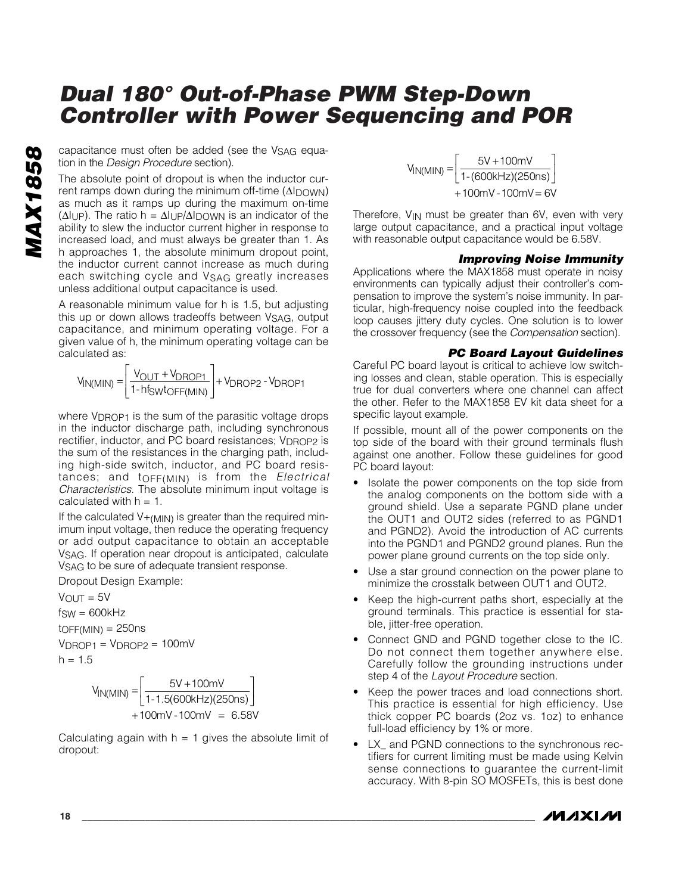tion in the *Design Procedure* section).

**CON** capacitance must often be added (see the V<sub>SAG</sub> equation in the *Design Procedure* section).<br>The absolute point of dropout is when the inductor current ramps down during the minimum off-time ( $\Delta I_{D}$ OWN) as much as The absolute point of dropout is when the inductor current ramps down during the minimum off-time (ΔIDOWN) as much as it ramps up during the maximum on-time  $(\Delta I \cup P)$ . The ratio h =  $\Delta I \cup P/\Delta I$  DOWN is an indicator of the ability to slew the inductor current higher in response to increased load, and must always be greater than 1. As h approaches 1, the absolute minimum dropout point, the inductor current cannot increase as much during each switching cycle and VSAG greatly increases unless additional output capacitance is used.

> A reasonable minimum value for h is 1.5, but adjusting this up or down allows tradeoffs between VSAG, output capacitance, and minimum operating voltage. For a given value of h, the minimum operating voltage can be calculated as:

$$
V_{IN(MIN)} = \left[ \frac{V_{OUT} + V_{DROP1}}{1 - hf_{SW}t_{OFF(MIN)}} \right] + V_{DROP2} - V_{DROP1}
$$

where V<sub>DROP1</sub> is the sum of the parasitic voltage drops in the inductor discharge path, including synchronous rectifier, inductor, and PC board resistances; V<sub>DROP2</sub> is the sum of the resistances in the charging path, including high-side switch, inductor, and PC board resistances; and tOFF(MIN) is from the *Electrical Characteristics*. The absolute minimum input voltage is calculated with  $h = 1$ .

If the calculated  $V_{+(M\vert N)}$  is greater than the required minimum input voltage, then reduce the operating frequency or add output capacitance to obtain an acceptable VSAG. If operation near dropout is anticipated, calculate VSAG to be sure of adequate transient response.

Dropout Design Example:

 $V_{\text{OUT}} = 5V$  $f_{SW} = 600kHz$  $t$ OFF(MIN) = 250ns  $V_{DROP1} = V_{DROP2} = 100$ mV  $h = 1.5$ 

$$
V_{IN(MIN)} = \left[\frac{5V + 100mV}{1 - 1.5(600kHz)(250ns)}\right] + 100mV - 100mV = 6.58V
$$

Calculating again with  $h = 1$  gives the absolute limit of dropout:

 $V_{IN(MIN)} = \frac{5V + 100mV}{1-(600kHz)(250ns)}$  $mV$  - 100 $mV$   $=$  6V +100mV -100mV = 5V + 100 1-(600kHz)(250  $100mV - 100mV = 6$ -

Therefore, V<sub>IN</sub> must be greater than 6V, even with very large output capacitance, and a practical input voltage with reasonable output capacitance would be 6.58V.

#### *Improving Noise Immunity*

Applications where the MAX1858 must operate in noisy environments can typically adjust their controller's compensation to improve the system's noise immunity. In particular, high-frequency noise coupled into the feedback loop causes jittery duty cycles. One solution is to lower the crossover frequency (see the *Compensation* section).

#### *PC Board Layout Guidelines*

Careful PC board layout is critical to achieve low switching losses and clean, stable operation. This is especially true for dual converters where one channel can affect the other. Refer to the MAX1858 EV kit data sheet for a specific layout example.

If possible, mount all of the power components on the top side of the board with their ground terminals flush against one another. Follow these guidelines for good PC board layout:

- Isolate the power components on the top side from the analog components on the bottom side with a ground shield. Use a separate PGND plane under the OUT1 and OUT2 sides (referred to as PGND1 and PGND2). Avoid the introduction of AC currents into the PGND1 and PGND2 ground planes. Run the power plane ground currents on the top side only.
- Use a star ground connection on the power plane to minimize the crosstalk between OUT1 and OUT2.
- Keep the high-current paths short, especially at the ground terminals. This practice is essential for stable, jitter-free operation.
- Connect GND and PGND together close to the IC. Do not connect them together anywhere else. Carefully follow the grounding instructions under step 4 of the *Layout Procedure* section.
- Keep the power traces and load connections short. This practice is essential for high efficiency. Use thick copper PC boards (2oz vs. 1oz) to enhance full-load efficiency by 1% or more.
- LX\_ and PGND connections to the synchronous rectifiers for current limiting must be made using Kelvin sense connections to guarantee the current-limit accuracy. With 8-pin SO MOSFETs, this is best done

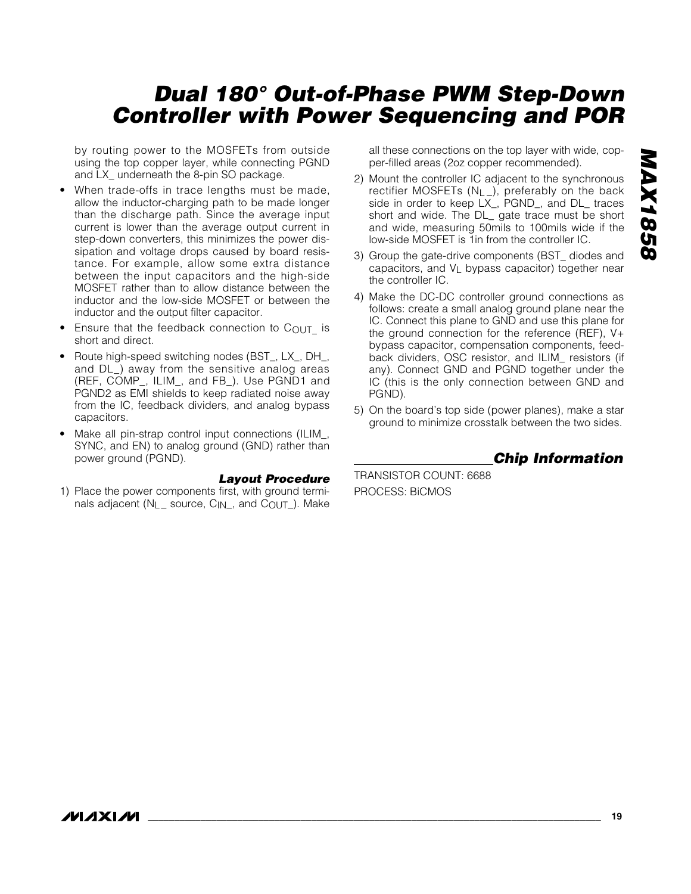by routing power to the MOSFETs from outside using the top copper layer, while connecting PGND and LX\_ underneath the 8-pin SO package.

- When trade-offs in trace lengths must be made, allow the inductor-charging path to be made longer than the discharge path. Since the average input current is lower than the average output current in step-down converters, this minimizes the power dissipation and voltage drops caused by board resistance. For example, allow some extra distance between the input capacitors and the high-side MOSFET rather than to allow distance between the inductor and the low-side MOSFET or between the inductor and the output filter capacitor.
- Ensure that the feedback connection to  $C_{\text{OUT}}$  is short and direct.
- Route high-speed switching nodes (BST\_, LX\_, DH\_, and DL\_) away from the sensitive analog areas (REF, COMP\_, ILIM\_, and FB\_). Use PGND1 and PGND2 as EMI shields to keep radiated noise away from the IC, feedback dividers, and analog bypass capacitors.
- Make all pin-strap control input connections (ILIM\_, SYNC, and EN) to analog ground (GND) rather than power ground (PGND).

#### *Layout Procedure*

1) Place the power components first, with ground terminals adjacent ( $N_L$  source,  $C_{IN}$ , and  $C_{OUT}$ ). Make

all these connections on the top layer with wide, copper-filled areas (2oz copper recommended).

2) Mount the controller IC adjacent to the synchronous rectifier MOSFETs (NL\_), preferably on the back side in order to keep LX\_, PGND\_, and DL\_ traces short and wide. The DL\_ gate trace must be short and wide, measuring 50mils to 100mils wide if the low-side MOSFET is 1in from the controller IC.

- 3) Group the gate-drive components (BST\_ diodes and capacitors, and  $V_L$  bypass capacitor) together near the controller IC.
- 4) Make the DC-DC controller ground connections as follows: create a small analog ground plane near the IC. Connect this plane to GND and use this plane for the ground connection for the reference (REF), V+ bypass capacitor, compensation components, feedback dividers, OSC resistor, and ILIM\_ resistors (if any). Connect GND and PGND together under the IC (this is the only connection between GND and PGND).
- 5) On the board's top side (power planes), make a star ground to minimize crosstalk between the two sides.

*Chip Information*

TRANSISTOR COUNT: 6688 PROCESS: BiCMOS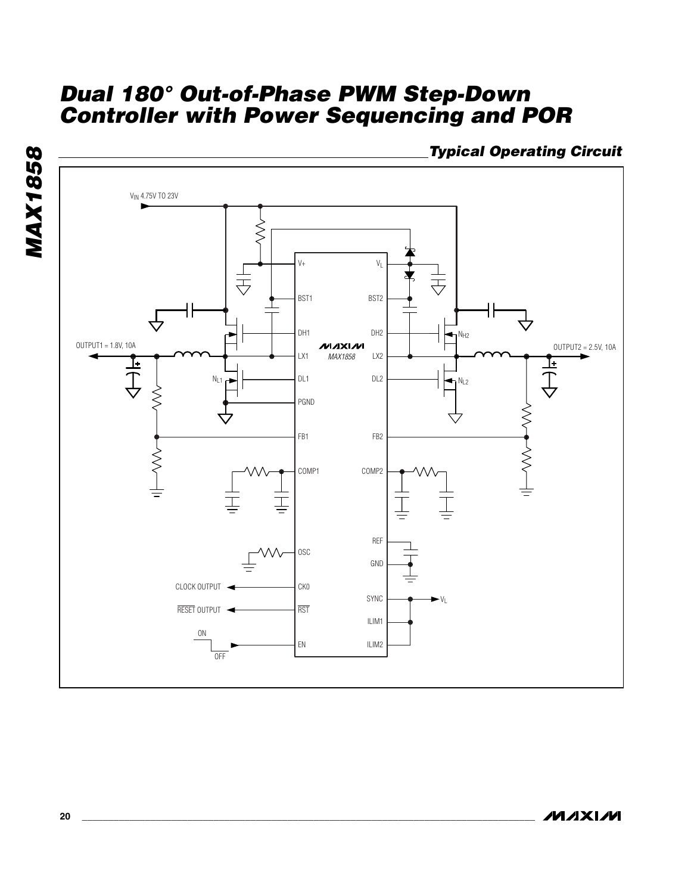**MAX1858** *MAX1858*



*Typical Operating Circuit*